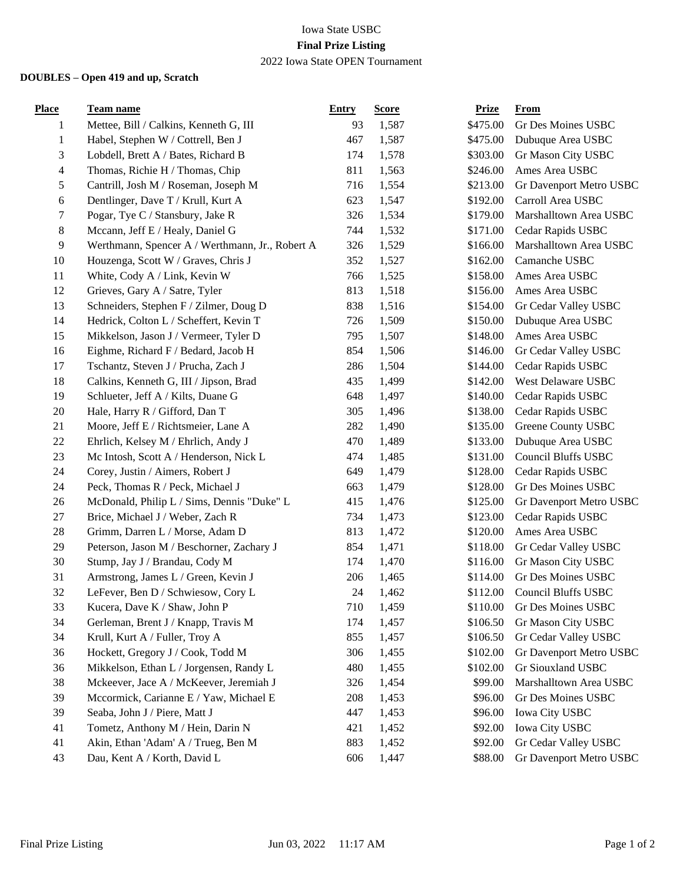## Iowa State USBC **Final Prize Listing** 2022 Iowa State OPEN Tournament

## **DOUBLES – Open 419 and up, Scratch**

| <b>Place</b>  | <b>Team name</b>                                | <b>Entry</b> | <b>Score</b> | <b>Prize</b> | <b>From</b>                |
|---------------|-------------------------------------------------|--------------|--------------|--------------|----------------------------|
| 1             | Mettee, Bill / Calkins, Kenneth G, III          | 93           | 1,587        | \$475.00     | Gr Des Moines USBC         |
| $\mathbf{1}$  | Habel, Stephen W / Cottrell, Ben J              | 467          | 1,587        | \$475.00     | Dubuque Area USBC          |
| $\mathfrak 3$ | Lobdell, Brett A / Bates, Richard B             | 174          | 1,578        | \$303.00     | Gr Mason City USBC         |
| 4             | Thomas, Richie H / Thomas, Chip                 | 811          | 1,563        | \$246.00     | Ames Area USBC             |
| 5             | Cantrill, Josh M / Roseman, Joseph M            | 716          | 1,554        | \$213.00     | Gr Davenport Metro USBC    |
| 6             | Dentlinger, Dave T / Krull, Kurt A              | 623          | 1,547        | \$192.00     | Carroll Area USBC          |
| 7             | Pogar, Tye C / Stansbury, Jake R                | 326          | 1,534        | \$179.00     | Marshalltown Area USBC     |
| $8\,$         | Mccann, Jeff E / Healy, Daniel G                | 744          | 1,532        | \$171.00     | Cedar Rapids USBC          |
| 9             | Werthmann, Spencer A / Werthmann, Jr., Robert A | 326          | 1,529        | \$166.00     | Marshalltown Area USBC     |
| 10            | Houzenga, Scott W / Graves, Chris J             | 352          | 1,527        | \$162.00     | Camanche USBC              |
| 11            | White, Cody A / Link, Kevin W                   | 766          | 1,525        | \$158.00     | Ames Area USBC             |
| 12            | Grieves, Gary A / Satre, Tyler                  | 813          | 1,518        | \$156.00     | Ames Area USBC             |
| 13            | Schneiders, Stephen F / Zilmer, Doug D          | 838          | 1,516        | \$154.00     | Gr Cedar Valley USBC       |
| 14            | Hedrick, Colton L / Scheffert, Kevin T          | 726          | 1,509        | \$150.00     | Dubuque Area USBC          |
| 15            | Mikkelson, Jason J / Vermeer, Tyler D           | 795          | 1,507        | \$148.00     | Ames Area USBC             |
| 16            | Eighme, Richard F / Bedard, Jacob H             | 854          | 1,506        | \$146.00     | Gr Cedar Valley USBC       |
| 17            | Tschantz, Steven J / Prucha, Zach J             | 286          | 1,504        | \$144.00     | Cedar Rapids USBC          |
| 18            | Calkins, Kenneth G, III / Jipson, Brad          | 435          | 1,499        | \$142.00     | West Delaware USBC         |
| 19            | Schlueter, Jeff A / Kilts, Duane G              | 648          | 1,497        | \$140.00     | Cedar Rapids USBC          |
| 20            | Hale, Harry R / Gifford, Dan T                  | 305          | 1,496        | \$138.00     | Cedar Rapids USBC          |
| 21            | Moore, Jeff E / Richtsmeier, Lane A             | 282          | 1,490        | \$135.00     | Greene County USBC         |
| $22\,$        | Ehrlich, Kelsey M / Ehrlich, Andy J             | 470          | 1,489        | \$133.00     | Dubuque Area USBC          |
| 23            | Mc Intosh, Scott A / Henderson, Nick L          | 474          | 1,485        | \$131.00     | <b>Council Bluffs USBC</b> |
| 24            | Corey, Justin / Aimers, Robert J                | 649          | 1,479        | \$128.00     | Cedar Rapids USBC          |
| 24            | Peck, Thomas R / Peck, Michael J                | 663          | 1,479        | \$128.00     | Gr Des Moines USBC         |
| 26            | McDonald, Philip L / Sims, Dennis "Duke" L      | 415          | 1,476        | \$125.00     | Gr Davenport Metro USBC    |
| 27            | Brice, Michael J / Weber, Zach R                | 734          | 1,473        | \$123.00     | Cedar Rapids USBC          |
| 28            | Grimm, Darren L / Morse, Adam D                 | 813          | 1,472        | \$120.00     | Ames Area USBC             |
| 29            | Peterson, Jason M / Beschorner, Zachary J       | 854          | 1,471        | \$118.00     | Gr Cedar Valley USBC       |
| 30            | Stump, Jay J / Brandau, Cody M                  | 174          | 1,470        | \$116.00     | Gr Mason City USBC         |
| 31            | Armstrong, James L / Green, Kevin J             | 206          | 1,465        | \$114.00     | Gr Des Moines USBC         |
| 32            | LeFever, Ben D / Schwiesow, Cory L              | 24           | 1,462        | \$112.00     | <b>Council Bluffs USBC</b> |
| 33            | Kucera, Dave K / Shaw, John P                   | 710          | 1,459        | \$110.00     | Gr Des Moines USBC         |
| 34            | Gerleman, Brent J / Knapp, Travis M             | 174          | 1,457        | \$106.50     | Gr Mason City USBC         |
| 34            | Krull, Kurt A / Fuller, Troy A                  | 855          | 1,457        | \$106.50     | Gr Cedar Valley USBC       |
| 36            | Hockett, Gregory J / Cook, Todd M               | 306          | 1,455        | \$102.00     | Gr Davenport Metro USBC    |
| 36            | Mikkelson, Ethan L / Jorgensen, Randy L         | 480          | 1,455        | \$102.00     | Gr Siouxland USBC          |
| 38            | Mckeever, Jace A / McKeever, Jeremiah J         | 326          | 1,454        | \$99.00      | Marshalltown Area USBC     |
| 39            | Mccormick, Carianne E / Yaw, Michael E          | 208          | 1,453        | \$96.00      | Gr Des Moines USBC         |
| 39            | Seaba, John J / Piere, Matt J                   | 447          | 1,453        | \$96.00      | Iowa City USBC             |
| 41            | Tometz, Anthony M / Hein, Darin N               | 421          | 1,452        | \$92.00      | Iowa City USBC             |
| 41            | Akin, Ethan 'Adam' A / Trueg, Ben M             | 883          | 1,452        | \$92.00      | Gr Cedar Valley USBC       |
| 43            | Dau, Kent A / Korth, David L                    | 606          | 1,447        | \$88.00      | Gr Davenport Metro USBC    |